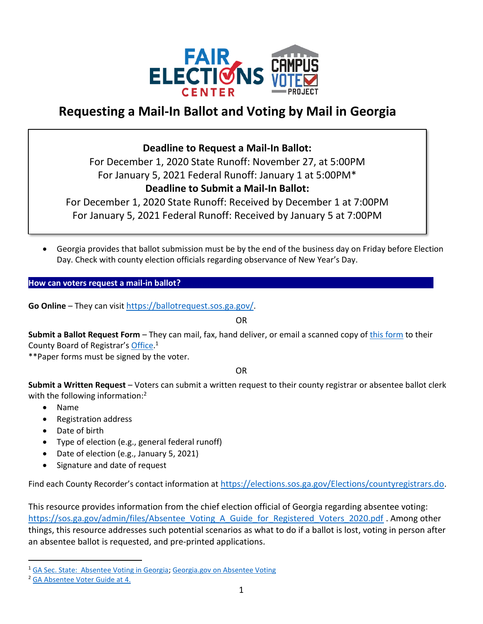

# **Requesting a Mail-In Ballot and Voting by Mail in Georgia**

## **Deadline to Request a Mail-In Ballot:**

For December 1, 2020 State Runoff: November 27, at 5:00PM For January 5, 2021 Federal Runoff: January 1 at 5:00PM\* **Deadline to Submit a Mail-In Ballot:** 

For December 1, 2020 State Runoff: Received by December 1 at 7:00PM For January 5, 2021 Federal Runoff: Received by January 5 at 7:00PM

• Georgia provides that ballot submission must be by the end of the business day on Friday before Election Day. Check with county election officials regarding observance of New Year's Day.

**How can voters request a mail-in ballot?** 

**Go Online** – They can visit <https://ballotrequest.sos.ga.gov/>.

OR

**Submit a Ballot Request Form** – They can mail, fax, hand deliver, or email a scanned copy of [this form](https://sos.ga.gov/admin/files/Absentee%20Ballot%20Fillable%20form%20820.pdf) to their County Board of Registrar's [Office.](https://elections.sos.ga.gov/Elections/countyregistrars.do)<sup>1</sup>

\*\*Paper forms must be signed by the voter.

OR

**Submit a Written Request** – Voters can submit a written request to their county registrar or absentee ballot clerk with the following information:<sup>2</sup>

- Name
- Registration address
- Date of birth
- Type of election (e.g., general federal runoff)
- Date of election (e.g., January 5, 2021)
- Signature and date of request

Find each County Recorder's contact information at <https://elections.sos.ga.gov/Elections/countyregistrars.do>.

This resource provides information from the chief election official of Georgia regarding absentee voting: [https://sos.ga.gov/admin/files/Absentee\\_Voting\\_A\\_Guide\\_for\\_Registered\\_Voters\\_2020.pdf](https://sos.ga.gov/admin/files/Absentee_Voting_A_Guide_for_Registered_Voters_2020.pdf) . Among other things, this resource addresses such potential scenarios as what to do if a ballot is lost, voting in person after an absentee ballot is requested, and pre-printed applications.

<sup>&</sup>lt;sup>1</sup> [GA Sec. State: Absentee Voting in Georgia;](https://sos.ga.gov/index.php/Elections/absentee_voting_in_georgia) [Georgia.gov on Absentee Voting](https://georgia.gov/vote-absentee-ballot)

<sup>2</sup> [GA Absentee Voter Guide at 4.](https://sos.ga.gov/admin/files/Absentee_Voting_A_Guide_for_Registered_Voters_2020.pdf)